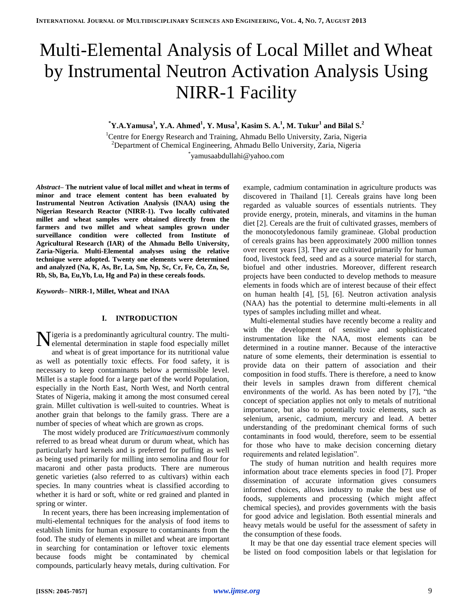# Multi-Elemental Analysis of Local Millet and Wheat by Instrumental Neutron Activation Analysis Using NIRR-1 Facility

**\*Y.A.Yamusa<sup>1</sup> , Y.A. Ahmed<sup>1</sup> , Y. Musa<sup>1</sup> , Kasim S. A.<sup>1</sup> , M. Tukur<sup>1</sup> and Bilal S.<sup>2</sup>**

<sup>1</sup>Centre for Energy Research and Training, Ahmadu Bello University, Zaria, Nigeria <sup>2</sup>Department of Chemical Engineering, Ahmadu Bello University, Zaria, Nigeria \* yamusaabdullahi@yahoo.com

*Abstract–* **The nutrient value of local millet and wheat in terms of minor and trace element content has been evaluated by Instrumental Neutron Activation Analysis (INAA) using the Nigerian Research Reactor (NIRR-1). Two locally cultivated millet and wheat samples were obtained directly from the farmers and two millet and wheat samples grown under surveillance condition were collected from Institute of Agricultural Research (IAR) of the Ahmadu Bello University, Zaria-Nigeria. Multi-Elemental analyses using the relative technique were adopted. Twenty one elements were determined and analyzed (Na, K, As, Br, La, Sm, Np, Sc, Cr, Fe, Co, Zn, Se, Rb, Sb, Ba, Eu,Yb, Lu, Hg and Pa) in these cereals foods.**

*Keywords–* **NIRR-1, Millet, Wheat and INAA**

# **I. INTRODUCTION**

Nigeria is a predominantly agricultural country. The multi-<br>elemental determination in staple food especially millet elemental determination in staple food especially millet and wheat is of great importance for its nutritional value as well as potentially toxic effects. For food safety, it is necessary to keep contaminants below a permissible level. Millet is a staple food for a large part of the world Population, especially in the North East, North West, and North central States of Nigeria, making it among the most consumed cereal grain. Millet cultivation is well-suited to countries. Wheat is another grain that belongs to the family grass. There are a number of species of wheat which are grown as crops.

The most widely produced are *Triticumaestivum* commonly referred to as bread wheat durum or durum wheat, which has particularly hard kernels and is preferred for puffing as well as being used primarily for milling into semolina and flour for macaroni and other pasta products. There are numerous genetic varieties (also referred to as cultivars) within each species. In many countries wheat is classified according to whether it is hard or soft, white or red grained and planted in spring or winter.

In recent years, there has been increasing implementation of multi-elemental techniques for the analysis of food items to establish limits for human exposure to contaminants from the food. The study of elements in millet and wheat are important in searching for contamination or leftover toxic elements because foods might be contaminated by chemical compounds, particularly heavy metals, during cultivation. For example, cadmium contamination in agriculture products was discovered in Thailand [1]. Cereals grains have long been regarded as valuable sources of essentials nutrients. They provide energy, protein, minerals, and vitamins in the human diet [2]. Cereals are the fruit of cultivated grasses, members of the monocotyledonous family gramineae. Global production of cereals grains has been approximately 2000 million tonnes over recent years [3]. They are cultivated primarily for human food, livestock feed, seed and as a source material for starch, biofuel and other industries. Moreover, different research projects have been conducted to develop methods to measure elements in foods which are of interest because of their effect on human health [4], [5], [6]. Neutron activation analysis (NAA) has the potential to determine multi-elements in all types of samples including millet and wheat.

Multi-elemental studies have recently become a reality and with the development of sensitive and sophisticated instrumentation like the NAA, most elements can be determined in a routine manner. Because of the interactive nature of some elements, their determination is essential to provide data on their pattern of association and their composition in food stuffs. There is therefore, a need to know their levels in samples drawn from different chemical environments of the world. As has been noted by [7], "the concept of speciation applies not only to metals of nutritional importance, but also to potentially toxic elements, such as selenium, arsenic, cadmium, mercury and lead. A better understanding of the predominant chemical forms of such contaminants in food would, therefore, seem to be essential for those who have to make decision concerning dietary requirements and related legislation".

The study of human nutrition and health requires more information about trace elements species in food [7]. Proper dissemination of accurate information gives consumers informed choices, allows industry to make the best use of foods, supplements and processing (which might affect chemical species), and provides governments with the basis for good advice and legislation. Both essential minerals and heavy metals would be useful for the assessment of safety in the consumption of these foods.

It may be that one day essential trace element species will be listed on food composition labels or that legislation for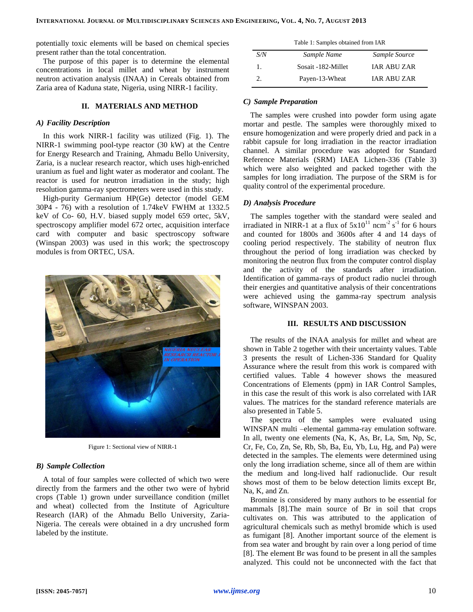potentially toxic elements will be based on chemical species present rather than the total concentration.

The purpose of this paper is to determine the elemental concentrations in local millet and wheat by instrument neutron activation analysis (INAA) in Cereals obtained from Zaria area of Kaduna state, Nigeria, using NIRR-1 facility.

## **II. MATERIALS AND METHOD**

## *A) Facility Description*

In this work NIRR-1 facility was utilized (Fig. 1). The NIRR-1 swimming pool-type reactor (30 kW) at the Centre for Energy Research and Training, Ahmadu Bello University, Zaria, is a nuclear research reactor, which uses high-enriched uranium as fuel and light water as moderator and coolant. The reactor is used for neutron irradiation in the study; high resolution gamma-ray spectrometers were used in this study.

High-purity Germanium HP(Ge) detector (model GEM 30P4 - 76) with a resolution of 1.74keV FWHM at 1332.5 keV of Co- 60, H.V. biased supply model 659 ortec, 5kV, spectroscopy amplifier model 672 ortec, acquisition interface card with computer and basic spectroscopy software (Winspan 2003) was used in this work; the spectroscopy modules is from ORTEC, USA.



Figure 1: Sectional view of NIRR-1

#### *B) Sample Collection*

A total of four samples were collected of which two were directly from the farmers and the other two were of hybrid crops (Table 1) grown under surveillance condition (millet and wheat) collected from the Institute of Agriculture Research (IAR) of the Ahmadu Bello University, Zaria-Nigeria. The cereals were obtained in a dry uncrushed form labeled by the institute.

|     | Table 1: Samples obtained from IAR |                    |  |
|-----|------------------------------------|--------------------|--|
| S/N | Sample Name                        | Sample Source      |  |
| 1.  | Sosait -182-Millet                 | <b>IAR ABUZAR</b>  |  |
|     | Payen-13-Wheat                     | <b>JAR ABU ZAR</b> |  |

## *C) Sample Preparation*

The samples were crushed into powder form using agate mortar and pestle. The samples were thoroughly mixed to ensure homogenization and were properly dried and pack in a rabbit capsule for long irradiation in the reactor irradiation channel. A similar procedure was adopted for Standard Reference Materials (SRM) IAEA Lichen-336 (Table 3) which were also weighted and packed together with the samples for long irradiation. The purpose of the SRM is for quality control of the experimental procedure.

## *D) Analysis Procedure*

The samples together with the standard were sealed and irradiated in NIRR-1 at a flux of  $5x10^{11}$  ncm<sup>-2</sup> s<sup>-1</sup> for 6 hours and counted for 1800s and 3600s after 4 and 14 days of cooling period respectively. The stability of neutron flux throughout the period of long irradiation was checked by monitoring the neutron flux from the computer control display and the activity of the standards after irradiation. Identification of gamma-rays of product radio nuclei through their energies and quantitative analysis of their concentrations were achieved using the gamma-ray spectrum analysis software, WINSPAN 2003.

## **III. RESULTS AND DISCUSSION**

The results of the INAA analysis for millet and wheat are shown in Table 2 together with their uncertainty values. Table 3 presents the result of Lichen-336 Standard for Quality Assurance where the result from this work is compared with certified values. Table 4 however shows the measured Concentrations of Elements (ppm) in IAR Control Samples, in this case the result of this work is also correlated with IAR values. The matrices for the standard reference materials are also presented in Table 5.

The spectra of the samples were evaluated using WINSPAN multi –elemental gamma-ray emulation software. In all, twenty one elements (Na, K, As, Br, La, Sm, Np, Sc, Cr, Fe, Co, Zn, Se, Rb, Sb, Ba, Eu, Yb, Lu, Hg, and Pa) were detected in the samples. The elements were determined using only the long irradiation scheme, since all of them are within the medium and long-lived half radionuclide. Our result shows most of them to be below detection limits except Br, Na, K, and Zn.

Bromine is considered by many authors to be essential for mammals [8].The main source of Br in soil that crops cultivates on. This was attributed to the application of agricultural chemicals such as methyl bromide which is used as fumigant [8]. Another important source of the element is from sea water and brought by rain over a long period of time [8]. The element Br was found to be present in all the samples analyzed. This could not be unconnected with the fact that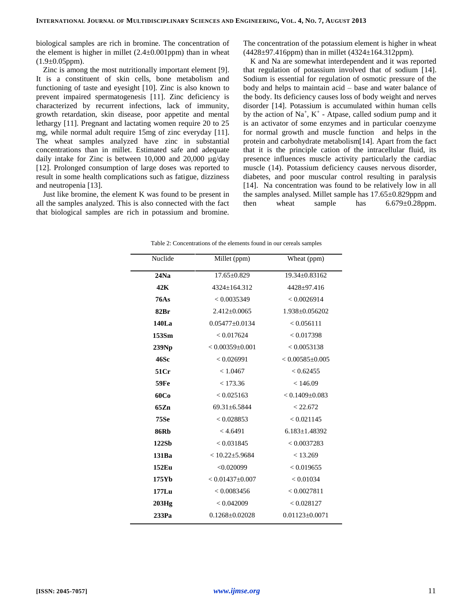biological samples are rich in bromine. The concentration of the element is higher in millet  $(2.4\pm0.001$ ppm) than in wheat  $(1.9\pm0.05$ ppm).

Zinc is among the most nutritionally important element [9]. It is a constituent of skin cells, bone metabolism and functioning of taste and eyesight [10]. Zinc is also known to prevent impaired spermatogenesis [11]. Zinc deficiency is characterized by recurrent infections, lack of immunity, growth retardation, skin disease, poor appetite and mental lethargy [11]. Pregnant and lactating women require 20 to 25 mg, while normal adult require 15mg of zinc everyday [11]. The wheat samples analyzed have zinc in substantial concentrations than in millet. Estimated safe and adequate daily intake for Zinc is between 10,000 and 20,000 µg/day [12]. Prolonged consumption of large doses was reported to result in some health complications such as fatigue, dizziness and neutropenia [13].

Just like bromine, the element K was found to be present in all the samples analyzed. This is also connected with the fact that biological samples are rich in potassium and bromine. The concentration of the potassium element is higher in wheat  $(4428 \pm 97.416$ ppm) than in millet  $(4324 \pm 164.312$ ppm).

K and Na are somewhat interdependent and it was reported that regulation of potassium involved that of sodium [14]. Sodium is essential for regulation of osmotic pressure of the body and helps to maintain acid – base and water balance of the body. Its deficiency causes loss of body weight and nerves disorder [14]. Potassium is accumulated within human cells by the action of  $Na^+$ ,  $K^+$  - Atpase, called sodium pump and it is an activator of some enzymes and in particular coenzyme for normal growth and muscle function and helps in the protein and carbohydrate metabolism[14]. Apart from the fact that it is the principle cation of the intracellular fluid, its presence influences muscle activity particularly the cardiac muscle (14). Potassium deficiency causes nervous disorder, diabetes, and poor muscular control resulting in paralysis [14]. Na concentration was found to be relatively low in all the samples analysed. Millet sample has 17.65±0.829ppm and then wheat sample has  $6.679 \pm 0.28$ ppm.

| Nuclide     | Millet (ppm)         | Wheat (ppm)           |
|-------------|----------------------|-----------------------|
| 24Na        | $17.65 \pm 0.829$    | 19.34±0.83162         |
| 42K         | 4324+164.312         | $4428 \pm 97.416$     |
| <b>76As</b> | < 0.0035349          | < 0.0026914           |
| 82Br        | $2.412 \pm 0.0065$   | 1.938±0.056202        |
| 140La       | $0.05477 \pm 0.0134$ | < 0.056111            |
| 153Sm       | < 0.017624           | < 0.017398            |
| 239Np       | $< 0.00359 + 0.001$  | < 0.0053138           |
| 46Sc        | < 0.026991           | $< 0.00585 \pm 0.005$ |
| 51Cr        | < 1.0467             | < 0.62455             |
| <b>59Fe</b> | < 173.36             | < 146.09              |
| 60Co        | < 0.025163           | $< 0.1409 \pm 0.083$  |
| 65Zn        | $69.31 \pm 6.5844$   | < 22.672              |
| <b>75Se</b> | < 0.028853           | < 0.021145            |
| <b>86Rb</b> | < 4.6491             | $6.183 \pm 1.48392$   |
| 122Sb       | < 0.031845           | < 0.0037283           |
| 131Ba       | $< 10.22 \pm 5.9684$ | < 13.269              |
| 152Eu       | < 0.020099           | < 0.019655            |
| 175Yb       | $< 0.01437 + 0.007$  | < 0.01034             |
| $177$ Lu    | < 0.0083456          | < 0.0027811           |
| 203Hg       | < 0.042009           | < 0.028127            |
| 233Pa       | $0.1268 \pm 0.02028$ | $0.01123 \pm 0.0071$  |

Table 2: Concentrations of the elements found in our cereals samples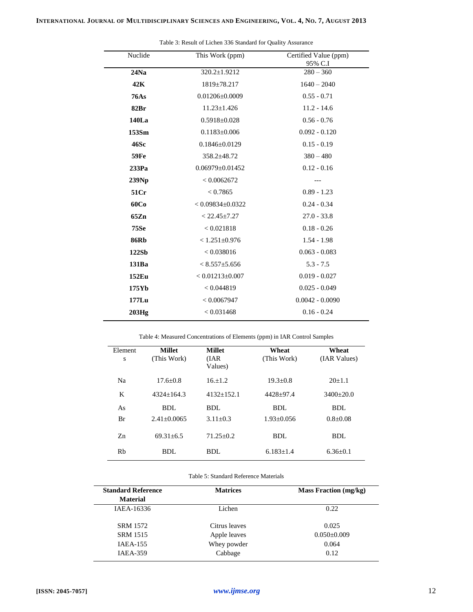| Nuclide     | This Work (ppm)        | Certified Value (ppm)<br>95% C.I |
|-------------|------------------------|----------------------------------|
| 24Na        | 320.2±1.9212           | $280 - 360$                      |
| 42K         | 1819±78.217            | $1640 - 2040$                    |
| <b>76As</b> | $0.01206 \pm 0.0009$   | $0.55 - 0.71$                    |
| 82Br        | $11.23 \pm 1.426$      | $11.2 - 14.6$                    |
| 140La       | $0.5918 \pm 0.028$     | $0.56 - 0.76$                    |
| 153Sm       | $0.1183 \pm 0.006$     | $0.092 - 0.120$                  |
| 46Sc        | $0.1846 \pm 0.0129$    | $0.15 - 0.19$                    |
| <b>59Fe</b> | $358.2 \pm 48.72$      | $380 - 480$                      |
| 233Pa       | $0.06979 \pm 0.01452$  | $0.12 - 0.16$                    |
| 239Np       | < 0.0062672            | ---                              |
| 51Cr        | < 0.7865               | $0.89 - 1.23$                    |
| 60Co        | $< 0.09834 \pm 0.0322$ | $0.24 - 0.34$                    |
| 65Zn        | $< 22.45 \pm 7.27$     | $27.0 - 33.8$                    |
| <b>75Se</b> | < 0.021818             | $0.18 - 0.26$                    |
| <b>86Rb</b> | $< 1.251 \pm 0.976$    | $1.54 - 1.98$                    |
| 122Sb       | < 0.038016             | $0.063 - 0.083$                  |
| 131Ba       | $< 8.557 \pm 5.656$    | $5.3 - 7.5$                      |
| 152Eu       | $< 0.01213 \pm 0.007$  | $0.019 - 0.027$                  |
| 175Yb       | < 0.044819             | $0.025 - 0.049$                  |
| $177$ Lu    | < 0.0067947            | $0.0042 - 0.0090$                |
| 203Hg       | < 0.031468             | $0.16 - 0.24$                    |

Table 3: Result of Lichen 336 Standard for Quality Assurance

Table 4: Measured Concentrations of Elements (ppm) in IAR Control Samples

| Element<br>S | <b>Millet</b><br>(This Work) | <b>Millet</b><br>(IAR)<br>Values) | Wheat<br>(This Work) | Wheat<br>(IAR Values) |
|--------------|------------------------------|-----------------------------------|----------------------|-----------------------|
| Na           | $17.6 + 0.8$                 | $16.+1.2$                         | $19.3 + 0.8$         | $20+1.1$              |
| K            | $4324+164.3$                 | $4132+152.1$                      | $4428+97.4$          | $3400+20.0$           |
| As           | BDL                          | BDL                               | BDL                  | BDL                   |
| Br           | $2.41 + 0.0065$              | $3.11 + 0.3$                      | $1.93 + 0.056$       | $0.8 + 0.08$          |
| $Z_{n}$      | $69.31 + 6.5$                | $71.25 + 0.2$                     | BDL                  | BDL                   |
| Rb           | BDL                          | BDL                               | $6.183 + 1.4$        | $6.36 \pm 0.1$        |

## Table 5: Standard Reference Materials

| <b>Standard Reference</b> | <b>Matrices</b> | <b>Mass Fraction</b> (mg/kg) |  |
|---------------------------|-----------------|------------------------------|--|
| <b>Material</b>           |                 |                              |  |
| IAEA-16336                | Lichen          | 0.22                         |  |
| <b>SRM 1572</b>           | Citrus leaves   | 0.025                        |  |
| <b>SRM 1515</b>           | Apple leaves    | $0.050\pm0.009$              |  |
| <b>IAEA-155</b>           | Whey powder     | 0.064                        |  |
| <b>IAEA-359</b>           | Cabbage         | 0.12                         |  |